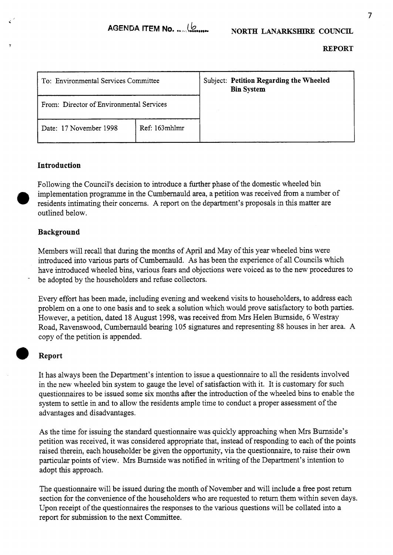| To: Environmental Services Committee     |               |  | Subject: Petition Regarding the Wheeled<br><b>Bin System</b> |
|------------------------------------------|---------------|--|--------------------------------------------------------------|
| From: Director of Environmental Services |               |  |                                                              |
| Date: 17 November 1998                   | Ref: 163mhlmr |  |                                                              |

## **Introduction**

Following the Council's decision to introduce a further phase of the domestic wheeled bin implementation programme in the Cumbernauld area, a petition was received from a number of outlined below. residents intimating their concerns. A report on the department's proposals in this matter are

## **Background**

Members will recall that during the months of April and May of this year wheeled bins were introduced into various parts of Cumbernauld. As has been the experience of all Councils which have introduced wheeled bins, various fears and objections were voiced as to the new procedures to be adopted by the householders and refuse collectors.

Every effort has been made, including evening and weekend visits to householders, to address each problem on a one to one basis and to seek a solution which would prove satisfactory to both parties. However, a petition, dated 18 August 1998, was received from Mrs Helen Burnside, 6 Westray Road, Ravenswood, Cumbernauld bearing 105 signatures and representing 88 houses in her area. A copy of the petition is appended.

## *0* **Report**

It has always been the Department's intention to issue a questionnaire to all the residents involved in the new wheeled bin system to gauge the level of satisfaction with it. It is customary for such questionnaires to be issued some six months after the introduction of the wheeled bins to enable the system to settle in and to allow the residents ample time to conduct a proper assessment of the advantages and disadvantages.

As the time for issuing the standard questionnaire was quickly approaching when Mrs Burnside's petition was received, it was considered appropriate that, instead of responding to each of the points raised therein, each householder be given the opportunity, via the questionnaire, to raise their own particular points of view. Mrs Burnside was notified in writing of the Department's intention to adopt this approach.

The questionnaire will be issued during the month of November and will include a free post return section for the convenience of the householders who are requested to return them within seven days. Upon receipt of the questionnaires the responses to the various questions will be collated into a report for submission to the next Committee.